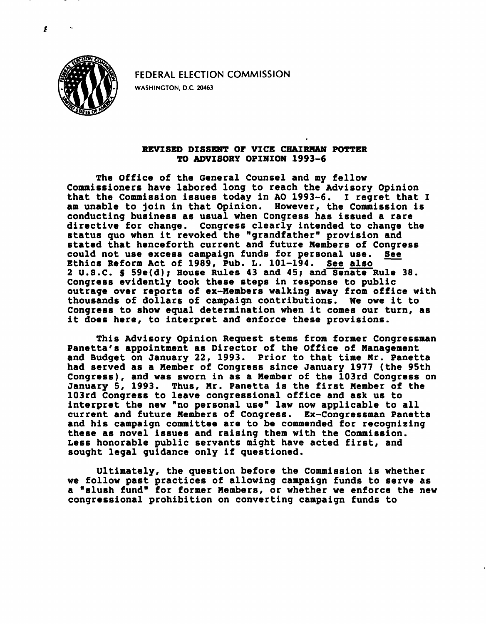

FEDERAL ELECTION COMMISSION

WASHINGTON, D.C. 20463

## REVISED DISSENT OF VICE CHAIRMAN POTTER TO ADVISORY OPINION 1993-6

The Office of the General Counsel and my fellow Commissioners have labored long to reach the Advisory Opinion that the Commission issues today in AO 1993-6. I regret that I am unable to join in that Opinion. However, the Commission is conducting business as usual when Congress has issued a rare directive for change. Congress clearly intended to change the status quo when it revoked the "grandfather" provision and stated that henceforth current and future Members of Congress could not use excess campaign funds for personal use. See<br>Ethics Reform Act of 1989, Pub. L. 101-194. See also Ethics Reform Act of 1989, Pub. L. 101-194. 2 U.S.C. S 59e(d); House Rules 43 and 45; and Senate Rule 38. Congress evidently took these steps in response to public outrage over reports of ex-Members walking away from office with thousands of dollars of campaign contributions. We owe it to Congress to show equal determination when it comes our turn, as it does here, to interpret and enforce these provisions.

This Advisory Opinion Request stems from former Congressman Panetta's appointment as Director of the Office of Management and Budget on January 22, 1993. Prior to that time Mr. Panetta had served as a Member of Congress since January 1977 (the 95th Congress), and was sworn in as a Member of the 103rd Congress on January 5, 1993. Thus, Mr. Panetta is the first Member of the 103rd Congress to leave congressional office and ask us to interpret the new "no personal use" law now applicable to all current and future Members of Congress. Ex-Congressman Panetta and his campaign committee are to be commended for recognizing these as novel issues and raising them with the Commission. Less honorable public servants might have acted first, and sought legal guidance only if questioned.

Ultimately, the question before the Commission is whether we follow past practices of allowing campaign funds to serve as a "slush fund" for former Members, or whether we enforce the new congressional prohibition on converting campaign funds to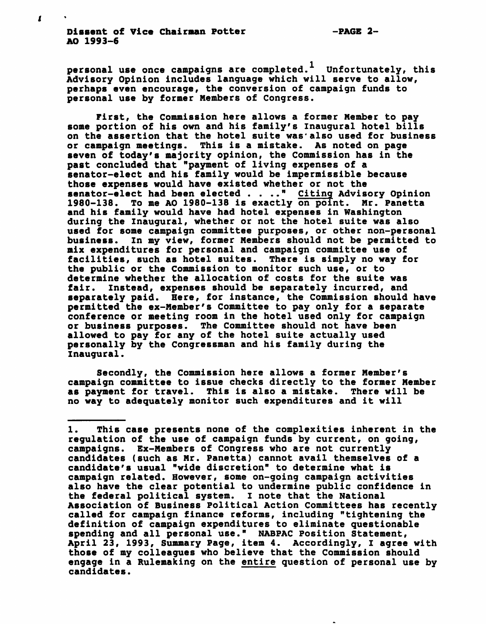personal use once campaigns are completed.<sup>1</sup> Unfortunately, this Advisory Opinion includes language which will serve to allow, perhaps even encourage, the conversion of campaign funds to personal use by former Members of Congress.

First, the Commission here allows a former Member to pay some portion of his own and his family's Inaugural hotel bills on the assertion that the hotel suite was also used for business or campaign meetings. This is a mistake. As noted on page seven of today's majority opinion, the Commission has in the past concluded that "payment of living expenses of a senator-elect and his family would be impermissible because those expenses would have existed whether or not the senator-elect had been elected . . .." Citing Advisory Opinion 1980-138. To me AO 1980-138 is exactly on point. Mr. Panetta and his family would have had hotel expenses in Washington during the Inaugural, whether or not the hotel suite was also used for some campaign committee purposes, or other non-personal business. In my view, former Members should not be permitted to mix expenditures for personal and campaign committee use of facilities, such as hotel suites. There is simply no way for the public or the Commission to monitor such use, or to determine whether the allocation of costs for the suite was fair. Instead, expenses should be separately incurred, and separately paid. Here, for instance, the Commission should have permitted the ex-Member's Committee to pay only for a separate conference or meeting room in the hotel used only for campaign or business purposes. The Committee should not have been allowed to pay for any of the hotel suite actually used personally by the Congressman and his family during the Inaugural.

Secondly, the Commission here allows a former Member's campaign committee to issue checks directly to the former Member as payment for travel. This is also a mistake. There will be no way to adequately monitor such expenditures and it will

<sup>1.</sup> This case presents none of the complexities inherent in the regulation of the use of campaign funds by current, on going, campaigns. Ex-Members of Congress who are not currently candidates (such as Mr. Panetta) cannot avail themselves of a candidate's usual "wide discretion" to determine what is campaign related. However, some on-going campaign activities also have the clear potential to undermine public confidence in the federal political system. I note that the National Association of Business Political Action Committees has recently called for campaign finance reforms, including "tightening the definition of campaign expenditures to eliminate questionable spending and all personal use." NABPAC Position Statement, April 23, 1993, Summary Page, item 4. Accordingly, I agree with those of my colleagues who believe that the Commission should engage in a Rulemaking on the entire question of personal use by candidates.